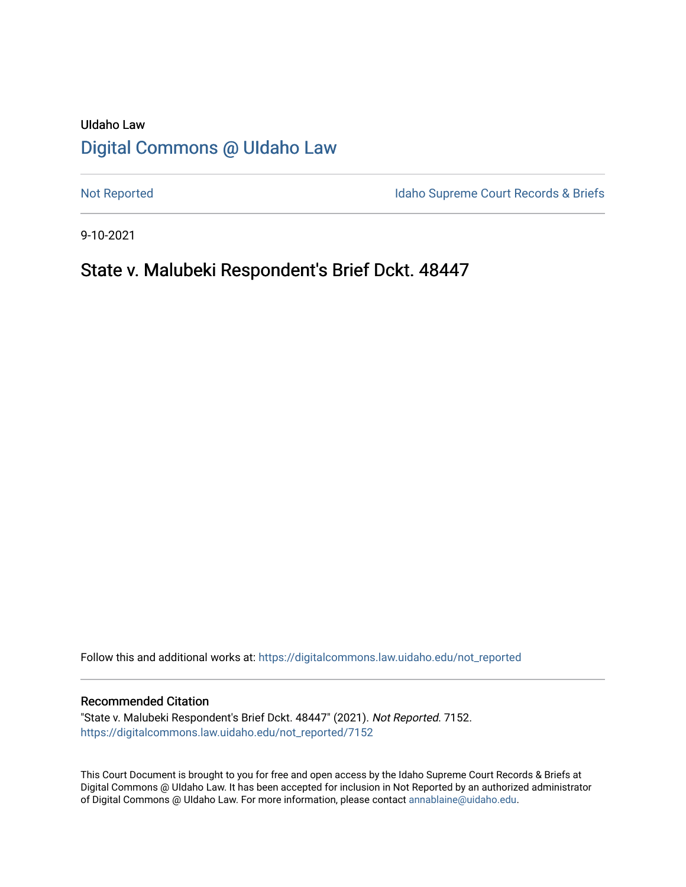# UIdaho Law [Digital Commons @ UIdaho Law](https://digitalcommons.law.uidaho.edu/)

[Not Reported](https://digitalcommons.law.uidaho.edu/not_reported) **Idaho Supreme Court Records & Briefs** 

9-10-2021

# State v. Malubeki Respondent's Brief Dckt. 48447

Follow this and additional works at: [https://digitalcommons.law.uidaho.edu/not\\_reported](https://digitalcommons.law.uidaho.edu/not_reported?utm_source=digitalcommons.law.uidaho.edu%2Fnot_reported%2F7152&utm_medium=PDF&utm_campaign=PDFCoverPages) 

#### Recommended Citation

"State v. Malubeki Respondent's Brief Dckt. 48447" (2021). Not Reported. 7152. [https://digitalcommons.law.uidaho.edu/not\\_reported/7152](https://digitalcommons.law.uidaho.edu/not_reported/7152?utm_source=digitalcommons.law.uidaho.edu%2Fnot_reported%2F7152&utm_medium=PDF&utm_campaign=PDFCoverPages)

This Court Document is brought to you for free and open access by the Idaho Supreme Court Records & Briefs at Digital Commons @ UIdaho Law. It has been accepted for inclusion in Not Reported by an authorized administrator of Digital Commons @ UIdaho Law. For more information, please contact [annablaine@uidaho.edu](mailto:annablaine@uidaho.edu).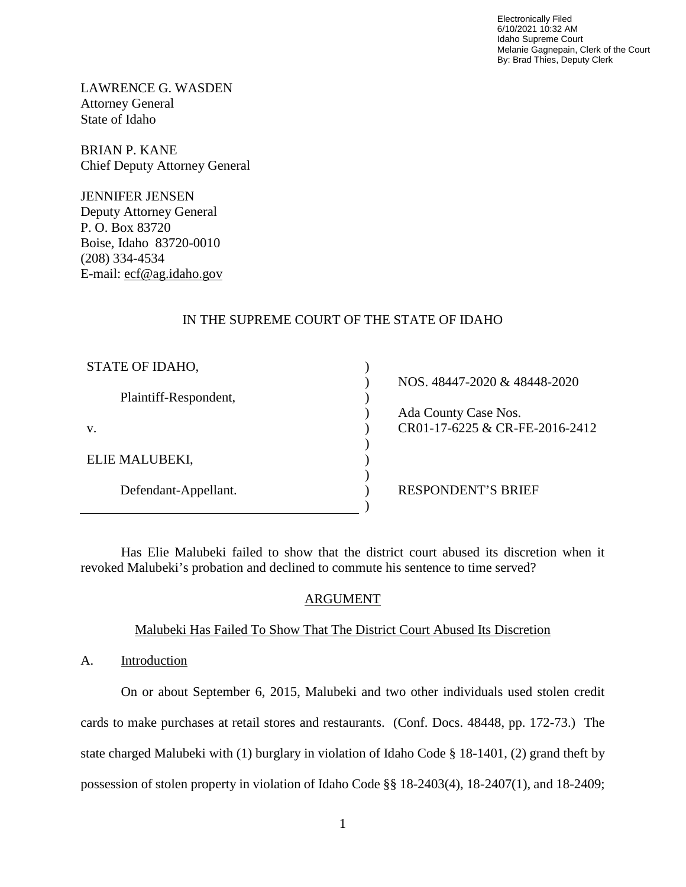Electronically Filed 6/10/2021 10:32 AM Idaho Supreme Court Melanie Gagnepain, Clerk of the Court By: Brad Thies, Deputy Clerk

LAWRENCE G. WASDEN Attorney General State of Idaho

BRIAN P. KANE Chief Deputy Attorney General

JENNIFER JENSEN Deputy Attorney General P. O. Box 83720 Boise, Idaho 83720-0010 (208) 334-4534 E-mail: ecf@ag.idaho.gov

### IN THE SUPREME COURT OF THE STATE OF IDAHO

| STATE OF IDAHO,       |                                |
|-----------------------|--------------------------------|
|                       | NOS. 48447-2020 & 48448-2020   |
| Plaintiff-Respondent, |                                |
|                       | Ada County Case Nos.           |
| V.                    | CR01-17-6225 & CR-FE-2016-2412 |
|                       |                                |
| ELIE MALUBEKI,        |                                |
|                       |                                |
| Defendant-Appellant.  | <b>RESPONDENT'S BRIEF</b>      |
|                       |                                |

Has Elie Malubeki failed to show that the district court abused its discretion when it revoked Malubeki's probation and declined to commute his sentence to time served?

### ARGUMENT

# Malubeki Has Failed To Show That The District Court Abused Its Discretion

A. Introduction

On or about September 6, 2015, Malubeki and two other individuals used stolen credit cards to make purchases at retail stores and restaurants. (Conf. Docs. 48448, pp. 172-73.) The state charged Malubeki with (1) burglary in violation of Idaho Code § 18-1401, (2) grand theft by possession of stolen property in violation of Idaho Code §§ 18-2403(4), 18-2407(1), and 18-2409;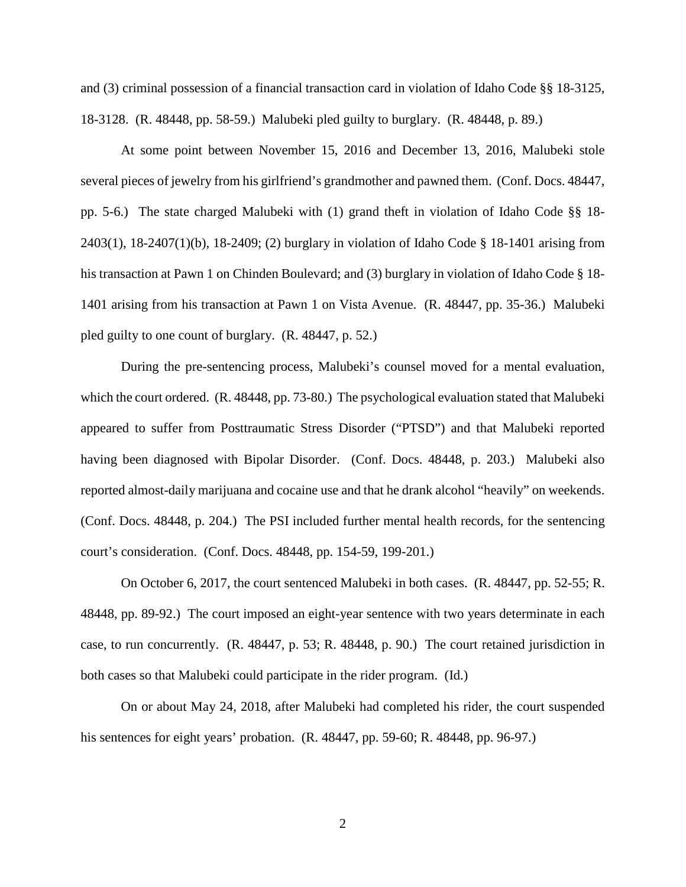and (3) criminal possession of a financial transaction card in violation of Idaho Code §§ 18-3125, 18-3128. (R. 48448, pp. 58-59.) Malubeki pled guilty to burglary. (R. 48448, p. 89.)

At some point between November 15, 2016 and December 13, 2016, Malubeki stole several pieces of jewelry from his girlfriend's grandmother and pawned them. (Conf. Docs. 48447, pp. 5-6.) The state charged Malubeki with (1) grand theft in violation of Idaho Code §§ 18- 2403(1), 18-2407(1)(b), 18-2409; (2) burglary in violation of Idaho Code § 18-1401 arising from his transaction at Pawn 1 on Chinden Boulevard; and (3) burglary in violation of Idaho Code § 18-1401 arising from his transaction at Pawn 1 on Vista Avenue. (R. 48447, pp. 35-36.) Malubeki pled guilty to one count of burglary. (R. 48447, p. 52.)

During the pre-sentencing process, Malubeki's counsel moved for a mental evaluation, which the court ordered. (R. 48448, pp. 73-80.) The psychological evaluation stated that Malubeki appeared to suffer from Posttraumatic Stress Disorder ("PTSD") and that Malubeki reported having been diagnosed with Bipolar Disorder. (Conf. Docs. 48448, p. 203.) Malubeki also reported almost-daily marijuana and cocaine use and that he drank alcohol "heavily" on weekends. (Conf. Docs. 48448, p. 204.) The PSI included further mental health records, for the sentencing court's consideration. (Conf. Docs. 48448, pp. 154-59, 199-201.)

On October 6, 2017, the court sentenced Malubeki in both cases. (R. 48447, pp. 52-55; R. 48448, pp. 89-92.) The court imposed an eight-year sentence with two years determinate in each case, to run concurrently. (R. 48447, p. 53; R. 48448, p. 90.) The court retained jurisdiction in both cases so that Malubeki could participate in the rider program. (Id.)

On or about May 24, 2018, after Malubeki had completed his rider, the court suspended his sentences for eight years' probation. (R. 48447, pp. 59-60; R. 48448, pp. 96-97.)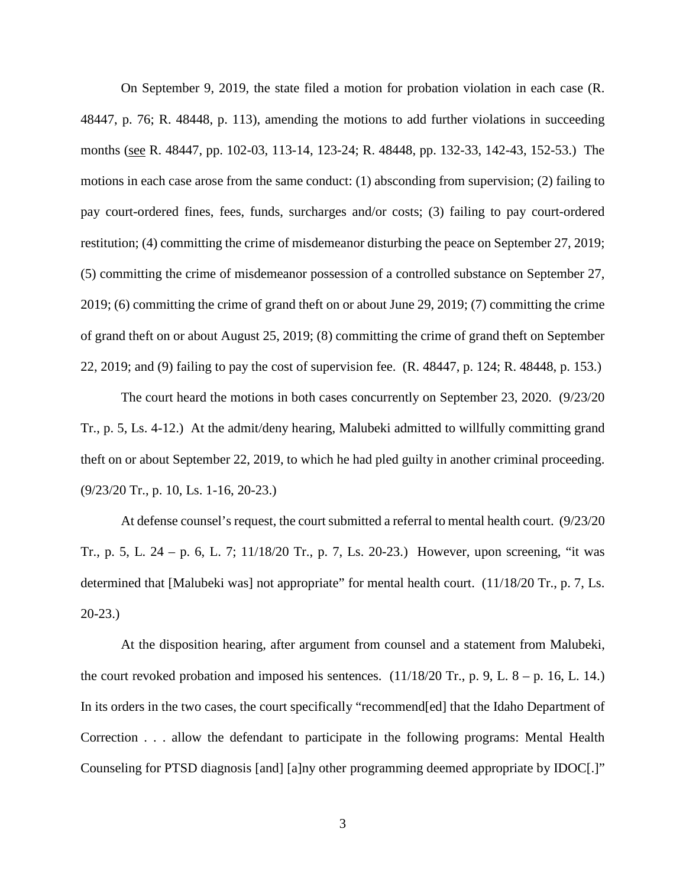On September 9, 2019, the state filed a motion for probation violation in each case (R. 48447, p. 76; R. 48448, p. 113), amending the motions to add further violations in succeeding months (see R. 48447, pp. 102-03, 113-14, 123-24; R. 48448, pp. 132-33, 142-43, 152-53.) The motions in each case arose from the same conduct: (1) absconding from supervision; (2) failing to pay court-ordered fines, fees, funds, surcharges and/or costs; (3) failing to pay court-ordered restitution; (4) committing the crime of misdemeanor disturbing the peace on September 27, 2019; (5) committing the crime of misdemeanor possession of a controlled substance on September 27, 2019; (6) committing the crime of grand theft on or about June 29, 2019; (7) committing the crime of grand theft on or about August 25, 2019; (8) committing the crime of grand theft on September 22, 2019; and (9) failing to pay the cost of supervision fee. (R. 48447, p. 124; R. 48448, p. 153.)

The court heard the motions in both cases concurrently on September 23, 2020. (9/23/20 Tr., p. 5, Ls. 4-12.) At the admit/deny hearing, Malubeki admitted to willfully committing grand theft on or about September 22, 2019, to which he had pled guilty in another criminal proceeding. (9/23/20 Tr., p. 10, Ls. 1-16, 20-23.)

At defense counsel's request, the court submitted a referral to mental health court. (9/23/20 Tr., p. 5, L. 24 – p. 6, L. 7; 11/18/20 Tr., p. 7, Ls. 20-23.) However, upon screening, "it was determined that [Malubeki was] not appropriate" for mental health court. (11/18/20 Tr., p. 7, Ls. 20-23.)

At the disposition hearing, after argument from counsel and a statement from Malubeki, the court revoked probation and imposed his sentences.  $(11/18/20 \text{ Tr}., p. 9, L. 8 - p. 16, L. 14.)$ In its orders in the two cases, the court specifically "recommend[ed] that the Idaho Department of Correction . . . allow the defendant to participate in the following programs: Mental Health Counseling for PTSD diagnosis [and] [a]ny other programming deemed appropriate by IDOC[.]"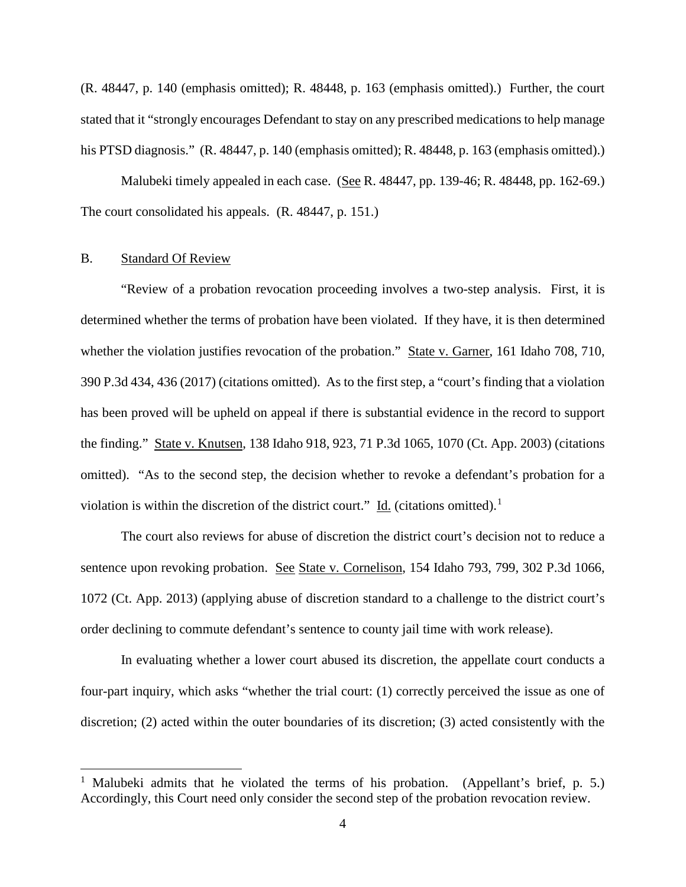(R. 48447, p. 140 (emphasis omitted); R. 48448, p. 163 (emphasis omitted).) Further, the court stated that it "strongly encourages Defendant to stay on any prescribed medications to help manage his PTSD diagnosis." (R. 48447, p. 140 (emphasis omitted); R. 48448, p. 163 (emphasis omitted).)

Malubeki timely appealed in each case. (See R. 48447, pp. 139-46; R. 48448, pp. 162-69.) The court consolidated his appeals. (R. 48447, p. 151.)

#### B. Standard Of Review

 $\overline{a}$ 

 "Review of a probation revocation proceeding involves a two-step analysis. First, it is determined whether the terms of probation have been violated. If they have, it is then determined whether the violation justifies revocation of the probation." State v. Garner, 161 Idaho 708, 710, 390 P.3d 434, 436 (2017) (citations omitted). As to the first step, a "court's finding that a violation has been proved will be upheld on appeal if there is substantial evidence in the record to support the finding." State v. Knutsen, 138 Idaho 918, 923, 71 P.3d 1065, 1070 (Ct. App. 2003) (citations omitted). "As to the second step, the decision whether to revoke a defendant's probation for a violation is within the discretion of the district court." Id. (citations omitted).<sup>[1](#page-4-0)</sup>

The court also reviews for abuse of discretion the district court's decision not to reduce a sentence upon revoking probation. See State v. Cornelison, 154 Idaho 793, 799, 302 P.3d 1066, 1072 (Ct. App. 2013) (applying abuse of discretion standard to a challenge to the district court's order declining to commute defendant's sentence to county jail time with work release).

In evaluating whether a lower court abused its discretion, the appellate court conducts a four-part inquiry, which asks "whether the trial court: (1) correctly perceived the issue as one of discretion; (2) acted within the outer boundaries of its discretion; (3) acted consistently with the

<span id="page-4-0"></span><sup>&</sup>lt;sup>1</sup> Malubeki admits that he violated the terms of his probation. (Appellant's brief, p. 5.) Accordingly, this Court need only consider the second step of the probation revocation review.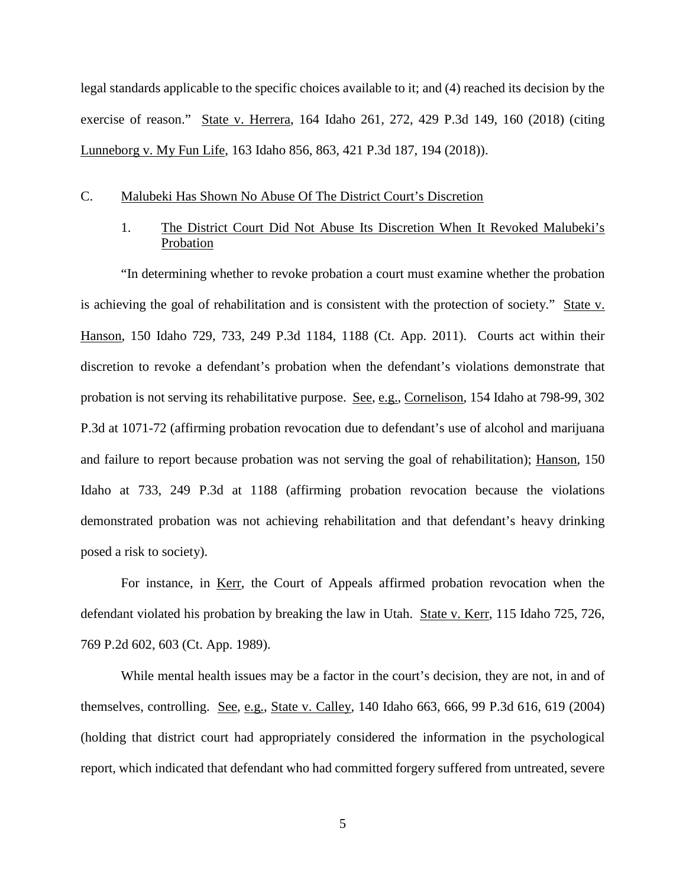legal standards applicable to the specific choices available to it; and (4) reached its decision by the exercise of reason." State v. Herrera, 164 Idaho 261, 272, 429 P.3d 149, 160 (2018) (citing Lunneborg v. My Fun Life, 163 Idaho 856, 863, 421 P.3d 187, 194 (2018)).

#### C. Malubeki Has Shown No Abuse Of The District Court's Discretion

## 1. The District Court Did Not Abuse Its Discretion When It Revoked Malubeki's Probation

"In determining whether to revoke probation a court must examine whether the probation is achieving the goal of rehabilitation and is consistent with the protection of society." State v. Hanson, 150 Idaho 729, 733, 249 P.3d 1184, 1188 (Ct. App. 2011). Courts act within their discretion to revoke a defendant's probation when the defendant's violations demonstrate that probation is not serving its rehabilitative purpose. See, e.g., Cornelison, 154 Idaho at 798-99, 302 P.3d at 1071-72 (affirming probation revocation due to defendant's use of alcohol and marijuana and failure to report because probation was not serving the goal of rehabilitation); Hanson, 150 Idaho at 733, 249 P.3d at 1188 (affirming probation revocation because the violations demonstrated probation was not achieving rehabilitation and that defendant's heavy drinking posed a risk to society).

For instance, in Kerr, the Court of Appeals affirmed probation revocation when the defendant violated his probation by breaking the law in Utah. State v. Kerr, 115 Idaho 725, 726, 769 P.2d 602, 603 (Ct. App. 1989).

While mental health issues may be a factor in the court's decision, they are not, in and of themselves, controlling. See, e.g., State v. Calley, 140 Idaho 663, 666, 99 P.3d 616, 619 (2004) (holding that district court had appropriately considered the information in the psychological report, which indicated that defendant who had committed forgery suffered from untreated, severe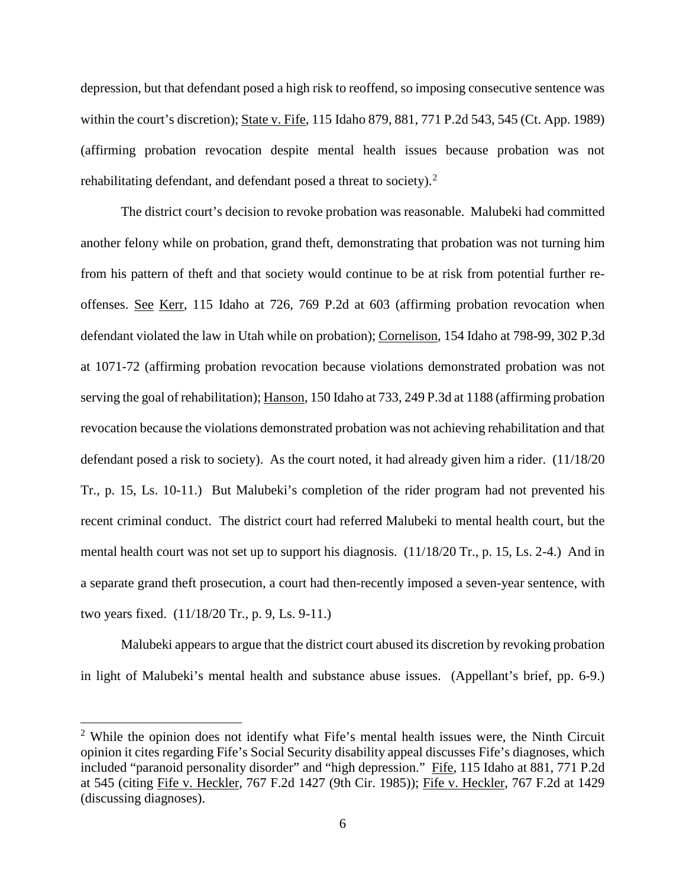depression, but that defendant posed a high risk to reoffend, so imposing consecutive sentence was within the court's discretion); State v. Fife, 115 Idaho 879, 881, 771 P.2d 543, 545 (Ct. App. 1989) (affirming probation revocation despite mental health issues because probation was not rehabilitating defendant, and defendant posed a threat to society). $^2$  $^2$ 

The district court's decision to revoke probation was reasonable. Malubeki had committed another felony while on probation, grand theft, demonstrating that probation was not turning him from his pattern of theft and that society would continue to be at risk from potential further reoffenses. See Kerr, 115 Idaho at 726, 769 P.2d at 603 (affirming probation revocation when defendant violated the law in Utah while on probation); Cornelison, 154 Idaho at 798-99, 302 P.3d at 1071-72 (affirming probation revocation because violations demonstrated probation was not serving the goal of rehabilitation); Hanson, 150 Idaho at 733, 249 P.3d at 1188 (affirming probation revocation because the violations demonstrated probation was not achieving rehabilitation and that defendant posed a risk to society). As the court noted, it had already given him a rider. (11/18/20 Tr., p. 15, Ls. 10-11.) But Malubeki's completion of the rider program had not prevented his recent criminal conduct. The district court had referred Malubeki to mental health court, but the mental health court was not set up to support his diagnosis. (11/18/20 Tr., p. 15, Ls. 2-4.) And in a separate grand theft prosecution, a court had then-recently imposed a seven-year sentence, with two years fixed. (11/18/20 Tr., p. 9, Ls. 9-11.)

Malubeki appears to argue that the district court abused its discretion by revoking probation in light of Malubeki's mental health and substance abuse issues. (Appellant's brief, pp. 6-9.)

 $\overline{a}$ 

<span id="page-6-0"></span> $2$  While the opinion does not identify what Fife's mental health issues were, the Ninth Circuit opinion it cites regarding Fife's Social Security disability appeal discusses Fife's diagnoses, which included "paranoid personality disorder" and "high depression." Fife, 115 Idaho at 881, 771 P.2d at 545 (citing Fife v. Heckler, 767 F.2d 1427 (9th Cir. 1985)); Fife v. Heckler, 767 F.2d at 1429 (discussing diagnoses).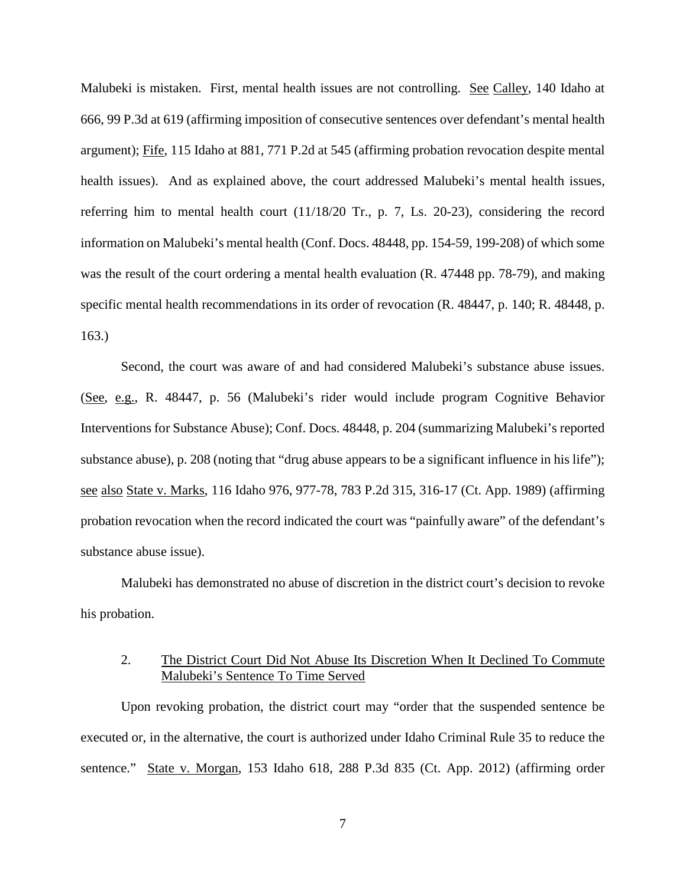Malubeki is mistaken. First, mental health issues are not controlling. See Calley, 140 Idaho at 666, 99 P.3d at 619 (affirming imposition of consecutive sentences over defendant's mental health argument); Fife, 115 Idaho at 881, 771 P.2d at 545 (affirming probation revocation despite mental health issues). And as explained above, the court addressed Malubeki's mental health issues, referring him to mental health court (11/18/20 Tr., p. 7, Ls. 20-23), considering the record information on Malubeki's mental health (Conf. Docs. 48448, pp. 154-59, 199-208) of which some was the result of the court ordering a mental health evaluation (R. 47448 pp. 78-79), and making specific mental health recommendations in its order of revocation (R. 48447, p. 140; R. 48448, p. 163.)

Second, the court was aware of and had considered Malubeki's substance abuse issues. (See, e.g., R. 48447, p. 56 (Malubeki's rider would include program Cognitive Behavior Interventions for Substance Abuse); Conf. Docs. 48448, p. 204 (summarizing Malubeki's reported substance abuse), p. 208 (noting that "drug abuse appears to be a significant influence in his life"); see also State v. Marks, 116 Idaho 976, 977-78, 783 P.2d 315, 316-17 (Ct. App. 1989) (affirming probation revocation when the record indicated the court was "painfully aware" of the defendant's substance abuse issue).

Malubeki has demonstrated no abuse of discretion in the district court's decision to revoke his probation.

### 2. The District Court Did Not Abuse Its Discretion When It Declined To Commute Malubeki's Sentence To Time Served

Upon revoking probation, the district court may "order that the suspended sentence be executed or, in the alternative, the court is authorized under Idaho Criminal Rule 35 to reduce the sentence." State v. Morgan, 153 Idaho 618, 288 P.3d 835 (Ct. App. 2012) (affirming order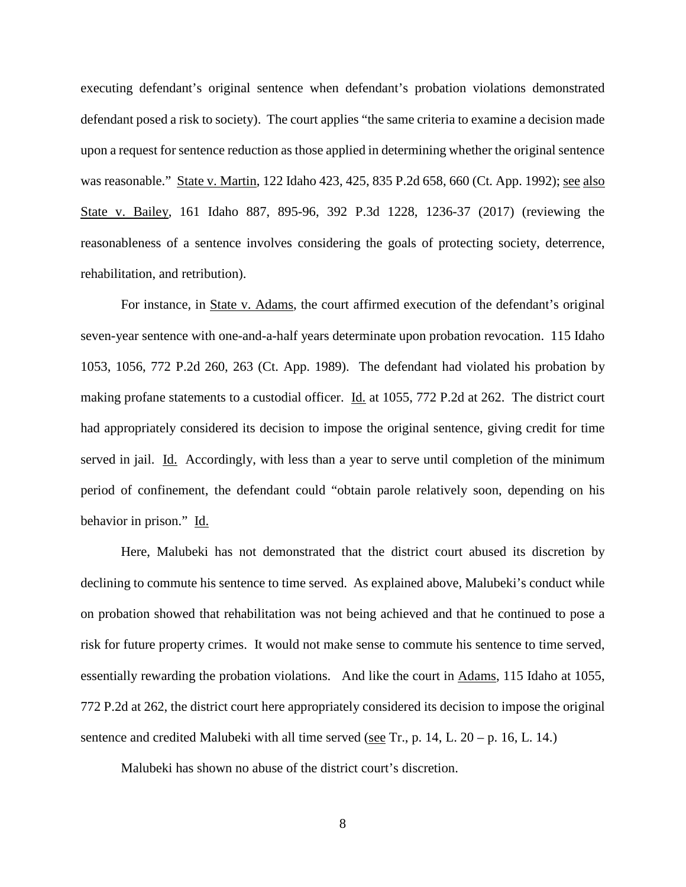executing defendant's original sentence when defendant's probation violations demonstrated defendant posed a risk to society). The court applies "the same criteria to examine a decision made upon a request for sentence reduction as those applied in determining whether the original sentence was reasonable." State v. Martin, 122 Idaho 423, 425, 835 P.2d 658, 660 (Ct. App. 1992); see also State v. Bailey, 161 Idaho 887, 895-96, 392 P.3d 1228, 1236-37 (2017) (reviewing the reasonableness of a sentence involves considering the goals of protecting society, deterrence, rehabilitation, and retribution).

For instance, in State v. Adams, the court affirmed execution of the defendant's original seven-year sentence with one-and-a-half years determinate upon probation revocation. 115 Idaho 1053, 1056, 772 P.2d 260, 263 (Ct. App. 1989). The defendant had violated his probation by making profane statements to a custodial officer. Id. at 1055, 772 P.2d at 262. The district court had appropriately considered its decision to impose the original sentence, giving credit for time served in jail. Id. Accordingly, with less than a year to serve until completion of the minimum period of confinement, the defendant could "obtain parole relatively soon, depending on his behavior in prison." Id.

Here, Malubeki has not demonstrated that the district court abused its discretion by declining to commute his sentence to time served. As explained above, Malubeki's conduct while on probation showed that rehabilitation was not being achieved and that he continued to pose a risk for future property crimes. It would not make sense to commute his sentence to time served, essentially rewarding the probation violations. And like the court in Adams, 115 Idaho at 1055, 772 P.2d at 262, the district court here appropriately considered its decision to impose the original sentence and credited Malubeki with all time served (see Tr., p. 14, L.  $20 - p$ . 16, L. 14.)

Malubeki has shown no abuse of the district court's discretion.

8